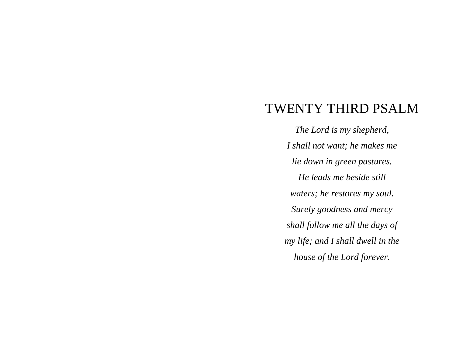# TWENTY THIRD PSALM

*The Lord is my shepherd, I shall not want; he makes me lie down in green pastures. He leads me beside still waters; he restores my soul. Surely goodness and mercy shall follow me all the days of my life; and I shall dwell in the house of the Lord forever.*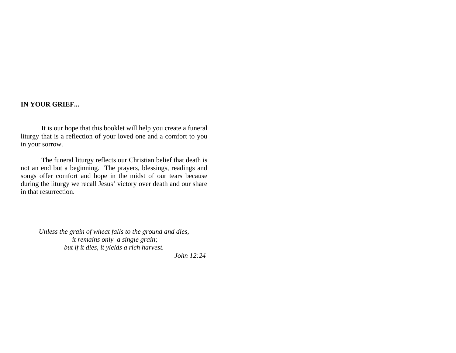# **IN YOUR GRIEF...**

It is our hope that this booklet will help you create a funeral liturgy that is a reflection of your loved one and a comfort to you in your sorrow.

The funeral liturgy reflects our Christian belief that death is not an end but a beginning. The prayers, blessings, readings and songs offer comfort and hope in the midst of our tears because during the liturgy we recall Jesus' victory over death and our share in that resurrection.

*Unless the grain of wheat falls to the ground and dies, it remains only a single grain; but if it dies, it yields a rich harvest.* 

 *John 12:24*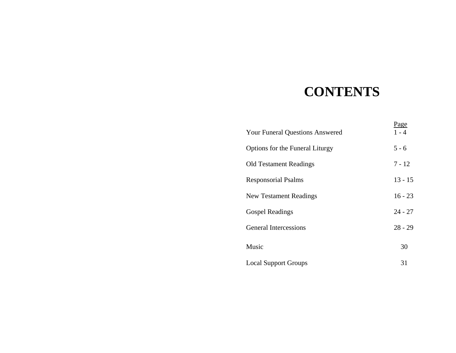# **CONTENTS**

| <b>Your Funeral Questions Answered</b> | <u>Page</u><br>$1 - 4$ |
|----------------------------------------|------------------------|
| <b>Options for the Funeral Liturgy</b> | $5 - 6$                |
| <b>Old Testament Readings</b>          | $7 - 12$               |
| <b>Responsorial Psalms</b>             | $13 - 15$              |
| <b>New Testament Readings</b>          | $16 - 23$              |
| <b>Gospel Readings</b>                 | $24 - 27$              |
| <b>General Intercessions</b>           | $28 - 29$              |
| Music                                  | 30                     |
| <b>Local Support Groups</b>            | 31                     |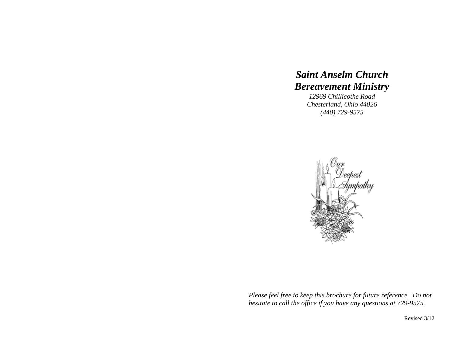# *Saint Anselm Church Bereavement Ministry*

*12969 Chillicothe Road Chesterland, Ohio 44026 (440) 729-9575*



*Please feel free to keep this brochure for future reference. Do not hesitate to call the office if you have any questions at 729-9575.* 

Revised 3/12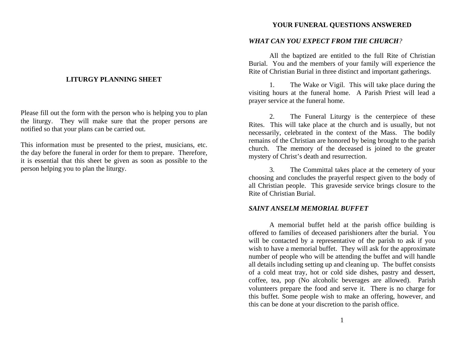#### **LITURGY PLANNING SHEET**

Please fill out the form with the person who is helping you to plan the liturgy. They will make sure that the proper persons are notified so that your plans can be carried out.

This information must be presented to the priest, musicians, etc. the day before the funeral in order for them to prepare. Therefore, it is essential that this sheet be given as soon as possible to the person helping you to plan the liturgy.

#### **YOUR FUNERAL QUESTIONS ANSWERED**

#### *WHAT CAN YOU EXPECT FROM THE CHURCH?*

All the baptized are entitled to the full Rite of Christian Burial. You and the members of your family will experience the Rite of Christian Burial in three distinct and important gatherings.

 1. The Wake or Vigil. This will take place during the visiting hours at the funeral home. A Parish Priest will lead a prayer service at the funeral home.

2. The Funeral Liturgy is the centerpiece of these Rites. This will take place at the church and is usually, but not necessarily, celebrated in the context of the Mass. The bodily remains of the Christian are honored by being brought to the parish church. The memory of the deceased is joined to the greater mystery of Christ's death and resurrection.

 3. The Committal takes place at the cemetery of your choosing and concludes the prayerful respect given to the body of all Christian people. This graveside service brings closure to the Rite of Christian Burial.

#### *SAINT ANSELM MEMORIAL BUFFET*

A memorial buffet held at the parish office building is offered to families of deceased parishioners after the burial. You will be contacted by a representative of the parish to ask if you wish to have a memorial buffet. They will ask for the approximate number of people who will be attending the buffet and will handle all details including setting up and cleaning up. The buffet consists of a cold meat tray, hot or cold side dishes, pastry and dessert, coffee, tea, pop (No alcoholic beverages are allowed). Parish volunteers prepare the food and serve it. There is no charge for this buffet. Some people wish to make an offering, however, and this can be done at your discretion to the parish office.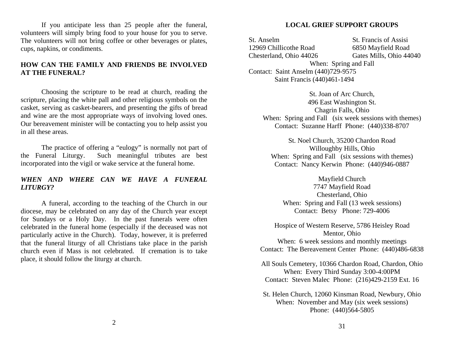If you anticipate less than 25 people after the funeral, volunteers will simply bring food to your house for you to serve. The volunteers will not bring coffee or other beverages or plates, cups, napkins, or condiments.

# **HOW CAN THE FAMILY AND FRIENDS BE INVOLVED AT THE FUNERAL?**

Choosing the scripture to be read at church, reading the scripture, placing the white pall and other religious symbols on the casket, serving as casket-bearers, and presenting the gifts of bread and wine are the most appropriate ways of involving loved ones. Our bereavement minister will be contacting you to help assist you in all these areas.

 The practice of offering a "eulogy" is normally not part of the Funeral Liturgy. Such meaningful tributes are best incorporated into the vigil or wake service at the funeral home.

# *WHEN AND WHERE CAN WE HAVE A FUNERAL LITURGY?*

A funeral, according to the teaching of the Church in our diocese, may be celebrated on any day of the Church year except for Sundays or a Holy Day. In the past funerals were often celebrated in the funeral home (especially if the deceased was not particularly active in the Church). Today, however, it is preferred that the funeral liturgy of all Christians take place in the parish church even if Mass is not celebrated. If cremation is to take place, it should follow the liturgy at church.

#### **LOCAL GRIEF SUPPORT GROUPS**

St. Anselm St. Francis of Assisi 12969 Chillicothe Road 6850 Mayfield Road Chesterland, Ohio 44026 Gates Mills, Ohio 44040 When: Spring and Fall Contact: Saint Anselm (440)729-9575 Saint Francis (440)461-1494

St. Joan of Arc Church, 496 East Washington St. Chagrin Falls, Ohio When: Spring and Fall (six week sessions with themes) Contact: Suzanne Harff Phone: (440)338-8707

St. Noel Church, 35200 Chardon Road Willoughby Hills, Ohio When: Spring and Fall (six sessions with themes) Contact: Nancy Kerwin Phone: (440)946-0887

Mayfield Church 7747 Mayfield Road Chesterland, Ohio When: Spring and Fall (13 week sessions) Contact: Betsy Phone: 729-4006

Hospice of Western Reserve, 5786 Heisley Road Mentor, Ohio When: 6 week sessions and monthly meetings Contact: The Bereavement Center Phone: (440)486-6838

All Souls Cemetery, 10366 Chardon Road, Chardon, Ohio When: Every Third Sunday 3:00-4:00PM Contact: Steven Malec Phone: (216)429-2159 Ext. 16

St. Helen Church, 12060 Kinsman Road, Newbury, Ohio When: November and May (six week sessions) Phone: (440)564-5805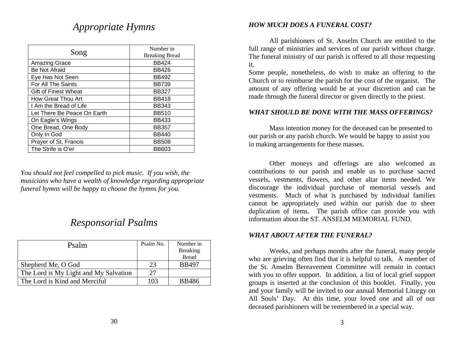# *Appropriate Hymns*

| Song                        | Number in<br><b>Breaking Bread</b> |  |
|-----------------------------|------------------------------------|--|
| <b>Amazing Grace</b>        | <b>BB424</b>                       |  |
| <b>Be Not Afraid</b>        | BB426                              |  |
| Eye Has Not Seen            | <b>BB492</b>                       |  |
| For All The Saints          | <b>BB739</b>                       |  |
| <b>Gift of Finest Wheat</b> | <b>BB327</b>                       |  |
| How Great Thou Art          | <b>BB418</b>                       |  |
| I Am the Bread of Life      | <b>BB343</b>                       |  |
| Let There Be Peace On Earth | <b>BB510</b>                       |  |
| On Eagle's Wings            | <b>BB433</b>                       |  |
| One Bread, One Body         | <b>BB357</b>                       |  |
| Only In God                 | <b>BB440</b>                       |  |
| Prayer of St. Francis       | <b>BB508</b>                       |  |
| The Strife is O'er          | <b>BB603</b>                       |  |

*You should not feel compelled to pick music. If you wish, the musicians who have a wealth of knowledge regarding appropriate funeral hymns will be happy to choose the hymns for you.* 

# *Responsorial Psalms*

| Psalm                                 | Psalm No. | Number in<br><b>Breaking</b><br><b>Bread</b> |
|---------------------------------------|-----------|----------------------------------------------|
| Shepherd Me, O God                    | 23        | <b>BB497</b>                                 |
| The Lord is My Light and My Salvation | 27        |                                              |
| The Lord is Kind and Merciful         | 103       | <b>BB486</b>                                 |

#### *HOW MUCH DOES A FUNERAL COST?*

All parishioners of St. Anselm Church are entitled to the full range of ministries and services of our parish without charge. The funeral ministry of our parish is offered to all those requesting it.

Some people, nonetheless, do wish to make an offering to the Church or to reimburse the parish for the cost of the organist. The amount of any offering would be at your discretion and can be made through the funeral director or given directly to the priest.

#### *WHAT SHOULD BE DONE WITH THE MASS OFFERINGS?*

Mass intention money for the deceased can be presented to our parish or any parish church. We would be happy to assist you in making arrangements for these masses.

 Other moneys and offerings are also welcomed as contributions to our parish and enable us to purchase sacred vessels, vestments, flowers, and other altar items needed. We discourage the individual purchase of memorial vessels and vestments. Much of what is purchased by individual families cannot be appropriately used within our parish due to sheer duplication of items. The parish office can provide you with information about the ST. ANSELM MEMORIAL FUND.

#### *WHAT ABOUT AFTER THE FUNERAL?*

Weeks, and perhaps months after the funeral, many people who are grieving often find that it is helpful to talk. A member of the St. Anselm Bereavement Committee will remain in contact with you to offer support. In addition, a list of local grief support groups is inserted at the conclusion of this booklet. Finally, you and your family will be invited to our annual Memorial Liturgy on All Souls' Day. At this time, your loved one and all of our deceased parishioners will be remembered in a special way.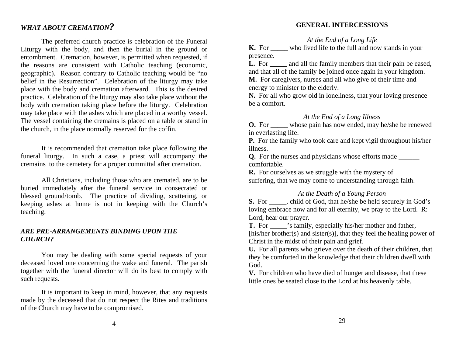# *WHAT ABOUT CREMATION?*

The preferred church practice is celebration of the Funeral Liturgy with the body, and then the burial in the ground or entombment. Cremation, however, is permitted when requested, if the reasons are consistent with Catholic teaching (economic, geographic). Reason contrary to Catholic teaching would be "no belief in the Resurrection". Celebration of the liturgy may take place with the body and cremation afterward. This is the desired practice. Celebration of the liturgy may also take place without the body with cremation taking place before the liturgy. Celebration may take place with the ashes which are placed in a worthy vessel. The vessel containing the cremains is placed on a table or stand in the church, in the place normally reserved for the coffin.

It is recommended that cremation take place following the funeral liturgy. In such a case, a priest will accompany the cremains to the cemetery for a proper committal after cremation.

 All Christians, including those who are cremated, are to be buried immediately after the funeral service in consecrated or blessed ground/tomb. The practice of dividing, scattering, or keeping ashes at home is not in keeping with the Church's teaching.

#### *ARE PRE-ARRANGEMENTS BINDING UPON THE CHURCH?*

You may be dealing with some special requests of your deceased loved one concerning the wake and funeral. The parish together with the funeral director will do its best to comply with such requests.

It is important to keep in mind, however, that any requests made by the deceased that do not respect the Rites and traditions of the Church may have to be compromised.

#### **GENERAL INTERCESSIONS**

#### *At the End of a Long Life*

**K.** For who lived life to the full and now stands in your presence.

L. For \_\_\_\_\_\_ and all the family members that their pain be eased, and that all of the family be joined once again in your kingdom. **M.** For caregivers, nurses and all who give of their time and energy to minister to the elderly.

**N.** For all who grow old in loneliness, that your loving presence be a comfort.

#### *At the End of a Long Illness*

**O.** For whose pain has now ended, may he/she be renewed in everlasting life.

**P.** For the family who took care and kept vigil throughout his/her illness.

**Q.** For the nurses and physicians whose efforts made \_\_\_\_\_\_ comfortable.

**R.** For ourselves as we struggle with the mystery of suffering, that we may come to understanding through faith.

#### *At the Death of a Young Person*

**S.** For \_\_\_\_\_, child of God, that he/she be held securely in God's loving embrace now and for all eternity, we pray to the Lord. R: Lord, hear our prayer.

**T.** For \_\_\_\_\_'s family, especially his/her mother and father, [his/her brother(s) and sister(s)], that they feel the healing power of Christ in the midst of their pain and grief.

**U.** For all parents who grieve over the death of their children, that they be comforted in the knowledge that their children dwell with God.

**V.** For children who have died of hunger and disease, that these little ones be seated close to the Lord at his heavenly table.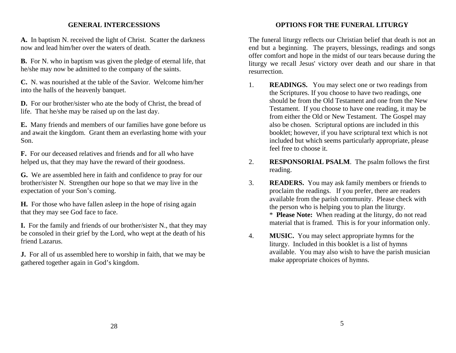#### **GENERAL INTERCESSIONS**

**A.** In baptism N. received the light of Christ. Scatter the darkness now and lead him/her over the waters of death.

**B.** For N. who in baptism was given the pledge of eternal life, that he/she may now be admitted to the company of the saints.

**C.** N. was nourished at the table of the Savior. Welcome him/her into the halls of the heavenly banquet.

**D.** For our brother/sister who ate the body of Christ, the bread of life. That he/she may be raised up on the last day.

**E.** Many friends and members of our families have gone before us and await the kingdom. Grant them an everlasting home with your Son.

**F.** For our deceased relatives and friends and for all who have helped us, that they may have the reward of their goodness.

**G.** We are assembled here in faith and confidence to pray for our brother/sister N. Strengthen our hope so that we may live in the expectation of your Son's coming.

**H.** For those who have fallen asleep in the hope of rising again that they may see God face to face.

**I.** For the family and friends of our brother/sister N., that they may be consoled in their grief by the Lord, who wept at the death of his friend Lazarus.

**J.** For all of us assembled here to worship in faith, that we may be gathered together again in God's kingdom.

# **OPTIONS FOR THE FUNERAL LITURGY**

The funeral liturgy reflects our Christian belief that death is not an end but a beginning. The prayers, blessings, readings and songs offer comfort and hope in the midst of our tears because during the liturgy we recall Jesus' victory over death and our share in that resurrection.

- 1. **READINGS.** You may select one or two readings from the Scriptures. If you choose to have two readings, one should be from the Old Testament and one from the New Testament. If you choose to have one reading, it may be from either the Old or New Testament. The Gospel may also be chosen. Scriptural options are included in this booklet; however, if you have scriptural text which is not included but which seems particularly appropriate, please feel free to choose it.
- 2. **RESPONSORIAL PSALM**. The psalm follows the first reading.
- 3. **READERS.** You may ask family members or friends to proclaim the readings. If you prefer, there are readers available from the parish community. Please check with the person who is helping you to plan the liturgy. \* **Please Note:** When reading at the liturgy, do not read material that is framed. This is for your information only.
- 4. **MUSIC.** You may select appropriate hymns for the liturgy. Included in this booklet is a list of hymns available. You may also wish to have the parish musician make appropriate choices of hymns.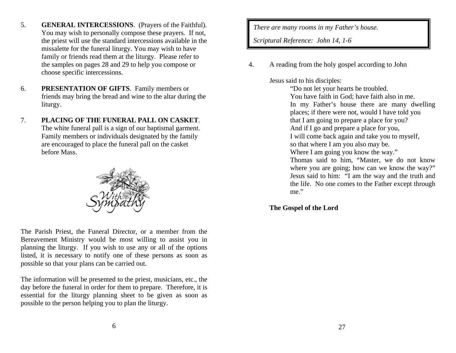- 5. **GENERAL INTERCESSIONS**. (Prayers of the Faithful). You may wish to personally compose these prayers. If not, the priest will use the standard intercessions available in the missalette for the funeral liturgy. You may wish to have family or friends read them at the liturgy. Please refer to the samples on pages 28 and 29 to help you compose or choose specific intercessions.
- 6. **PRESENTATION OF GIFTS**. Family members or friends may bring the bread and wine to the altar during the liturgy.
- 7. **PLACING OF THE FUNERAL PALL ON CASKET**. The white funeral pall is a sign of our baptismal garment. Family members or individuals designated by the family are encouraged to place the funeral pall on the casket before Mass.



The Parish Priest, the Funeral Director, or a member from the Bereavement Ministry would be most willing to assist you in planning the liturgy. If you wish to use any or all of the options listed, it is necessary to notify one of these persons as soon as possible so that your plans can be carried out.

The information will be presented to the priest, musicians, etc., the day before the funeral in order for them to prepare. Therefore, it is essential for the liturgy planning sheet to be given as soon as possible to the person helping you to plan the liturgy.

*There are many rooms in my Father's house.* 

*Scriptural Reference: John 14, 1-6*

4. A reading from the holy gospel according to John

Jesus said to his disciples:

 "Do not let your hearts be troubled. You have faith in God; have faith also in me. In my Father's house there are many dwelling places; if there were not, would I have told you that I am going to prepare a place for you? And if I go and prepare a place for you, I will come back again and take you to myself, so that where I am you also may be. Where I am going you know the way." Thomas said to him, "Master, we do not know where you are going; how can we know the way?" Jesus said to him: "I am the way and the truth and the life. No one comes to the Father except through me."

**The Gospel of the Lord**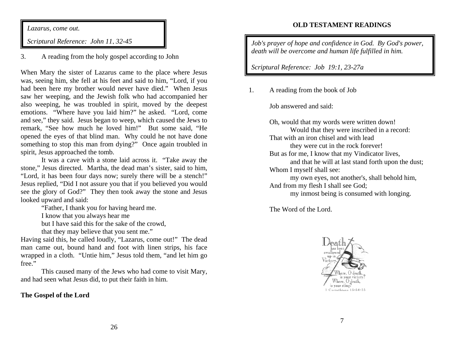*Lazarus, come out.* 

*Scriptural Reference: John 11, 32-45*

3. A reading from the holy gospel according to John

When Mary the sister of Lazarus came to the place where Jesus was, seeing him, she fell at his feet and said to him, "Lord, if you had been here my brother would never have died." When Jesus saw her weeping, and the Jewish folk who had accompanied her also weeping, he was troubled in spirit, moved by the deepest emotions. "Where have you laid him?" he asked. "Lord, come and see," they said. Jesus began to weep, which caused the Jews to remark, "See how much he loved him!" But some said, "He opened the eyes of that blind man. Why could he not have done something to stop this man from dying?" Once again troubled in spirit, Jesus approached the tomb.

 It was a cave with a stone laid across it. "Take away the stone," Jesus directed. Martha, the dead man's sister, said to him, "Lord, it has been four days now; surely there will be a stench!" Jesus replied, "Did I not assure you that if you believed you would see the glory of God?" They then took away the stone and Jesus looked upward and said:

"Father, I thank you for having heard me.

I know that you always hear me

but I have said this for the sake of the crowd,

that they may believe that you sent me."

Having said this, he called loudly, "Lazarus, come out!" The dead man came out, bound hand and foot with linen strips, his face wrapped in a cloth. "Untie him," Jesus told them, "and let him go free."

 This caused many of the Jews who had come to visit Mary, and had seen what Jesus did, to put their faith in him.

# **The Gospel of the Lord**

# **OLD TESTAMENT READINGS**

*Job's prayer of hope and confidence in God. By God's power, death will be overcome and human life fulfilled in him.* 

*Scriptural Reference: Job 19:1, 23-27a*

1. A reading from the book of Job

Job answered and said:

 Oh, would that my words were written down! Would that they were inscribed in a record: That with an iron chisel and with lead they were cut in the rock forever! But as for me, I know that my Vindicator lives, and that he will at last stand forth upon the dust; Whom I myself shall see: my own eyes, not another's, shall behold him, And from my flesh I shall see God;

my inmost being is consumed with longing.

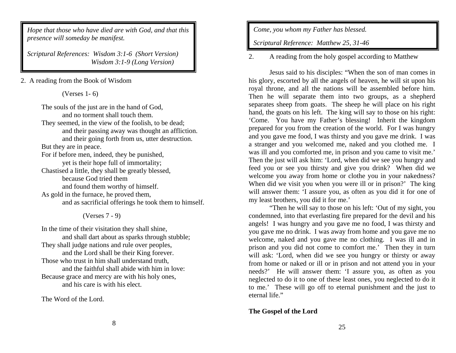*Hope that those who have died are with God, and that this presence will someday be manifest.* 

*Scriptural References: Wisdom 3:1-6 (Short Version)* 

2. A reading from the Book of Wisdom

(Verses 1- 6)

 The souls of the just are in the hand of God, and no torment shall touch them. They seemed, in the view of the foolish, to be dead; and their passing away was thought an affliction. and their going forth from us, utter destruction. But they are in peace. For if before men, indeed, they be punished, yet is their hope full of immortality; Chastised a little, they shall be greatly blessed, because God tried them and found them worthy of himself. As gold in the furnace, he proved them, and as sacrificial offerings he took them to himself. (Verses 7 - 9)

 In the time of their visitation they shall shine, and shall dart about as sparks through stubble; They shall judge nations and rule over peoples, and the Lord shall be their King forever. Those who trust in him shall understand truth, and the faithful shall abide with him in love: Because grace and mercy are with his holy ones,

and his care is with his elect.

The Word of the Lord.

*Come, you whom my Father has blessed.* 

*Scriptural Reference: Matthew 25, 31-4 6*

*Wisdom 3:1-6 (Short Version)* 2. A reading from the holy gospel according to Matthew *Wisdom 3:1-9 (Long Version)* 

 Jesus said to his disciples: "When the son of man comes in his glory, escorted by all the angels of heaven, he will sit upon his royal throne, and all the nations will be assembled before him. Then he will separate them into two groups, as a shepherd separates sheep from goats. The sheep he will place on his right hand, the goats on his left. The king will say to those on his right: 'Come. You have my Father's blessing! Inherit the kingdom prepared for you from the creation of the world. For I was hungry and you gave me food, I was thirsty and you gave me drink. I was a stranger and you welcomed me, naked and you clothed me. I was ill and you comforted me, in prison and you came to visit me.' Then the just will ask him: 'Lord, when did we see you hungry and feed you or see you thirsty and give you drink? When did we welcome you away from home or clothe you in your nakedness? When did we visit you when you were ill or in prison?' The king will answer them: 'I assure you, as often as you did it for one of my least brothers, you did it for me.'

 "Then he will say to those on his left: 'Out of my sight, you condemned, into that everlasting fire prepared for the devil and his angels! I was hungry and you gave me no food, I was thirsty and you gave me no drink. I was away from home and you gave me no welcome, naked and you gave me no clothing. I was ill and in prison and you did not come to comfort me.' Then they in turn will ask: 'Lord, when did we see you hungry or thirsty or away from home or naked or ill or in prison and not attend you in your needs?' He will answer them: 'I assure you, as often as you neglected to do it to one of these least ones, you neglected to do it to me.' These will go off to eternal punishment and the just to eternal life."

# **The Gospel of the Lord**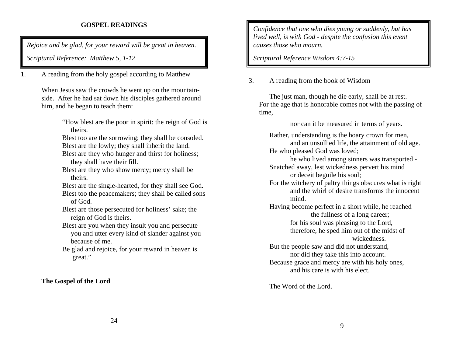#### **GOSPEL READINGS**

*Rejoice and be glad, for your reward will be great in heaven.* 

*Scriptural Reference: Matthew 5, 1-12*

1. A reading from the holy gospel according to Matthew

When Jesus saw the crowds he went up on the mountainside. After he had sat down his disciples gathered around him, and he began to teach them:

> "How blest are the poor in spirit: the reign of God is theirs.

Blest too are the sorrowing; they shall be consoled.

Blest are the lowly; they shall inherit the land.

 Blest are they who hunger and thirst for holiness; they shall have their fill.

Blest are they who show mercy; mercy shall be theirs.

 Blest are the single-hearted, for they shall see God. Blest too the peacemakers; they shall be called sons

of God.

Blest are those persecuted for holiness' sake; the reign of God is theirs.

 Blest are you when they insult you and persecute you and utter every kind of slander against you because of me.

 Be glad and rejoice, for your reward in heaven is great."

# **The Gospel of the Lord**

*Confidence that one who dies young or suddenly, but has lived well, is with God - despite the confusion this event causes those who mourn.* 

*Scriptural Reference Wisdom 4:7-15*

# 3. A reading from the book of Wisdom

 The just man, though he die early, shall be at rest. For the age that is honorable comes not with the passing of time,

nor can it be measured in terms of years.

 Rather, understanding is the hoary crown for men, and an unsullied life, the attainment of old age. He who pleased God was loved;

 he who lived among sinners was transported - Snatched away, lest wickedness pervert his mind

or deceit beguile his soul;

 For the witchery of paltry things obscures what is right and the whirl of desire transforms the innocent mind.

 Having become perfect in a short while, he reached the fullness of a long career; for his soul was pleasing to the Lord,

 therefore, he sped him out of the midst of wickedness.

 But the people saw and did not understand, nor did they take this into account.

 Because grace and mercy are with his holy ones, and his care is with his elect.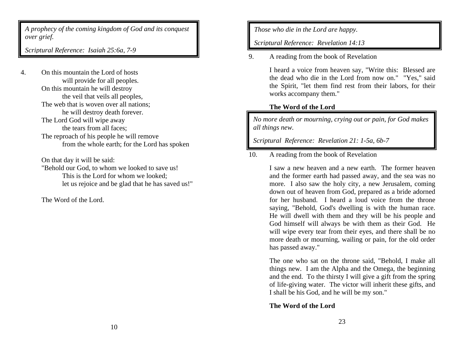*A prophecy of the coming kingdom of God and its conquest over grief.* 

*Scriptural Reference: Isaiah 25:6a, 7-9*

4. On this mountain the Lord of hosts will provide for all peoples. On this mountain he will destroy the veil that veils all peoples, The web that is woven over all nations; he will destroy death forever. The Lord God will wipe away the tears from all faces; The reproach of his people he will remove from the whole earth; for the Lord has spoken

> On that day it will be said: "Behold our God, to whom we looked to save us! This is the Lord for whom we looked; let us rejoice and be glad that he has saved us!"

The Word of the Lord.

*Those who die in the Lord are happy.* 

*Scriptural Reference: Revelation 14:13*

9. A reading from the book of Revelation

I heard a voice from heaven say, "Write this: Blessed are the dead who die in the Lord from now on." "Yes," said the Spirit, "let them find rest from their labors, for their works accompany them."

# **The Word of the Lord**

*No more death or mourning, crying out or pain, for God makes all things new.* 

*Scriptural Reference: Revelation 21: 1-5a, 6b-7*

# 10. A reading from the book of Revelation

I saw a new heaven and a new earth. The former heaven and the former earth had passed away, and the sea was no more. I also saw the holy city, a new Jerusalem, coming down out of heaven from God, prepared as a bride adorned for her husband. I heard a loud voice from the throne saying, "Behold, God's dwelling is with the human race. He will dwell with them and they will be his people and God himself will always be with them as their God. He will wipe every tear from their eyes, and there shall be no more death or mourning, wailing or pain, for the old order has passed away."

The one who sat on the throne said, "Behold, I make all things new. I am the Alpha and the Omega, the beginning and the end. To the thirsty I will give a gift from the spring of life-giving water. The victor will inherit these gifts, and I shall be his God, and he will be my son."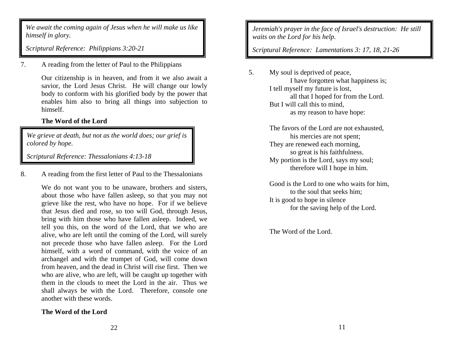*We await the coming again of Jesus when he will make us like himself in glory.* 

*Scriptural Reference: Philippians 3:20-21*

7. A reading from the letter of Paul to the Philippians

Our citizenship is in heaven, and from it we also await a savior, the Lord Jesus Christ. He will change our lowly body to conform with his glorified body by the power that enables him also to bring all things into subjection to himself.

# **The Word of the Lord**

*We grieve at death, but not as the world does; our grief is colored by hope.* 

*Scriptural Reference: Thessalonians 4:13-18*

8. A reading from the first letter of Paul to the Thessalonians

We do not want you to be unaware, brothers and sisters, about those who have fallen asleep, so that you may not grieve like the rest, who have no hope. For if we believe that Jesus died and rose, so too will God, through Jesus, bring with him those who have fallen asleep. Indeed, we tell you this, on the word of the Lord, that we who are alive, who are left until the coming of the Lord, will surely not precede those who have fallen asleep. For the Lord himself, with a word of command, with the voice of an archangel and with the trumpet of God, will come down from heaven, and the dead in Christ will rise first. Then we who are alive, who are left, will be caught up together with them in the clouds to meet the Lord in the air. Thus we shall always be with the Lord. Therefore, console one another with these words.

# **The Word of the Lord**

*Jeremiah's prayer in the face of Israel's destruction: He still waits on the Lord for his help.* 

*Scriptural Reference: Lamentations 3: 17, 18, 21-26* 

5. My soul is deprived of peace, I have forgotten what happiness is; I tell myself my future is lost, all that I hoped for from the Lord. But I will call this to mind, as my reason to have hope:

> The favors of the Lord are not exhausted, his mercies are not spent; They are renewed each morning, so great is his faithfulness. My portion is the Lord, says my soul; therefore will I hope in him.

 Good is the Lord to one who waits for him, to the soul that seeks him; It is good to hope in silence for the saving help of the Lord.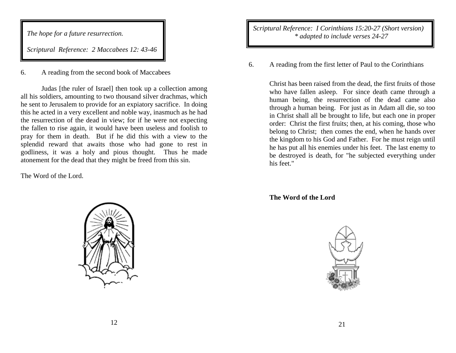*The hope for a future resurrection.* 

*Scriptural Reference: 2 Maccabees 12: 43-46* 

6. A reading from the second book of Maccabees

 Judas [the ruler of Israel] then took up a collection among all his soldiers, amounting to two thousand silver drachmas, which he sent to Jerusalem to provide for an expiatory sacrifice. In doing this he acted in a very excellent and noble way, inasmuch as he had the resurrection of the dead in view; for if he were not expecting the fallen to rise again, it would have been useless and foolish to pray for them in death. But if he did this with a view to the splendid reward that awaits those who had gone to rest in godliness, it was a holy and pious thought. Thus he made atonement for the dead that they might be freed from this sin.

The Word of the Lord.



*Scriptural Reference: I Corinthians 15:20-27 (Short version) \* adapted to include verses 24-27*

6. A reading from the first letter of Paul to the Corinthians

Christ has been raised from the dead, the first fruits of those who have fallen asleep. For since death came through a human being, the resurrection of the dead came also through a human being. For just as in Adam all die, so too in Christ shall all be brought to life, but each one in proper order: Christ the first fruits; then, at his coming, those who belong to Christ; then comes the end, when he hands over the kingdom to his God and Father. For he must reign until he has put all his enemies under his feet. The last enemy to be destroyed is death, for "he subjected everything under his feet."

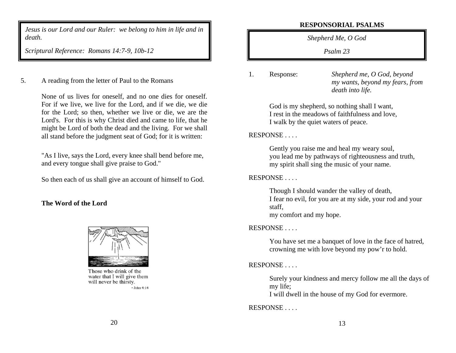*Jesus is our Lord and our Ruler: we belong to him in life and in death.* 

*Scriptural Reference: Romans 14:7-9, 10b-12*

5. A reading from the letter of Paul to the Romans

None of us lives for oneself, and no one dies for oneself. For if we live, we live for the Lord, and if we die, we die for the Lord; so then, whether we live or die, we are the Lord's. For this is why Christ died and came to life, that he might be Lord of both the dead and the living. For we shall all stand before the judgment seat of God; for it is written:

"As I live, says the Lord, every knee shall bend before me, and every tongue shall give praise to God."

So then each of us shall give an account of himself to God.

# **The Word of the Lord**



Those who drink of the water that I will give them will never be thirsty.  $-John 4:14$ 

# **RESPONSORIAL PSALMS**

*Shepherd Me, O God* 

*Psalm 23*

1. Response: *Shepherd me, O God, beyond my wants, beyond my fears, from death into life.* 

> God is my shepherd, so nothing shall I want, I rest in the meadows of faithfulness and love, I walk by the quiet waters of peace.

# RESPONSE . . . .

 Gently you raise me and heal my weary soul, you lead me by pathways of righteousness and truth, my spirit shall sing the music of your name.

# RESPONSE . . . .

 Though I should wander the valley of death, I fear no evil, for you are at my side, your rod and your staff, my comfort and my hope.

# RESPONSE . . . .

 You have set me a banquet of love in the face of hatred, crowning me with love beyond my pow'r to hold.

# RESPONSE . . . .

 Surely your kindness and mercy follow me all the days of my life;

I will dwell in the house of my God for evermore.

RESPONSE . . . .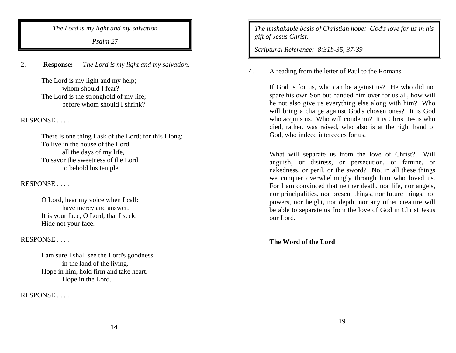*The Lord is my light and my salvation* 

*Psalm 27* 

2. **Response:** *The Lord is my light and my salvation.* 

The Lord is my light and my help; whom should I fear? The Lord is the stronghold of my life; before whom should I shrink?

RESPONSE . . . .

 There is one thing I ask of the Lord; for this I long: To live in the house of the Lord all the days of my life, To savor the sweetness of the Lord to behold his temple.

RESPONSE . . . .

 O Lord, hear my voice when I call: have mercy and answer. It is your face, O Lord, that I seek. Hide not your face.

RESPONSE . . . .

 I am sure I shall see the Lord's goodness in the land of the living. Hope in him, hold firm and take heart. Hope in the Lord.

RESPONSE . . . .

*The unshakable basis of Christian hope: God's love for us in his gift of Jesus Christ.* 

*Scriptural Reference: 8:31b-35, 37-39*

4. A reading from the letter of Paul to the Romans

If God is for us, who can be against us? He who did not spare his own Son but handed him over for us all, how will he not also give us everything else along with him? Who will bring a charge against God's chosen ones? It is God who acquits us. Who will condemn? It is Christ Jesus who died, rather, was raised, who also is at the right hand of God, who indeed intercedes for us.

What will separate us from the love of Christ? Will anguish, or distress, or persecution, or famine, or nakedness, or peril, or the sword? No, in all these things we conquer overwhelmingly through him who loved us. For I am convinced that neither death, nor life, nor angels, nor principalities, nor present things, nor future things, nor powers, nor height, nor depth, nor any other creature will be able to separate us from the love of God in Christ Jesus our Lord.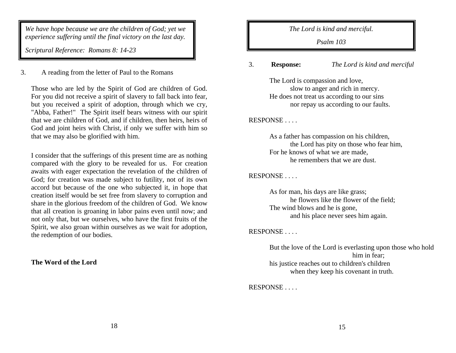*We have hope because we are the children of God; yet we experience suffering until the final victory on the last day.* 

*Scriptural Reference: Romans 8: 14-23*

3. A reading from the letter of Paul to the Romans

Those who are led by the Spirit of God are children of God. For you did not receive a spirit of slavery to fall back into fear, but you received a spirit of adoption, through which we cry, "Abba, Father!" The Spirit itself bears witness with our spirit that we are children of God, and if children, then heirs, heirs of God and joint heirs with Christ, if only we suffer with him so that we may also be glorified with him.

I consider that the sufferings of this present time are as nothing compared with the glory to be revealed for us. For creation awaits with eager expectation the revelation of the children of God; for creation was made subject to futility, not of its own accord but because of the one who subjected it, in hope that creation itself would be set free from slavery to corruption and share in the glorious freedom of the children of God. We know that all creation is groaning in labor pains even until now; and not only that, but we ourselves, who have the first fruits of the Spirit, we also groan within ourselves as we wait for adoption, the redemption of our bodies.

# **The Word of the Lord**

*The Lord is kind and merciful.* 

*Psalm 103*

3. **Response:** *The Lord is kind and merciful*

 The Lord is compassion and love, slow to anger and rich in mercy. He does not treat us according to our sins nor repay us according to our faults.

#### RESPONSE . . . .

 As a father has compassion on his children, the Lord has pity on those who fear him, For he knows of what we are made, he remembers that we are dust.

# RESPONSE . . . .

 As for man, his days are like grass; he flowers like the flower of the field; The wind blows and he is gone, and his place never sees him again.

# RESPONSE . . . .

 But the love of the Lord is everlasting upon those who hold him in fear; his justice reaches out to children's children when they keep his covenant in truth.

# RESPONSE . . . .